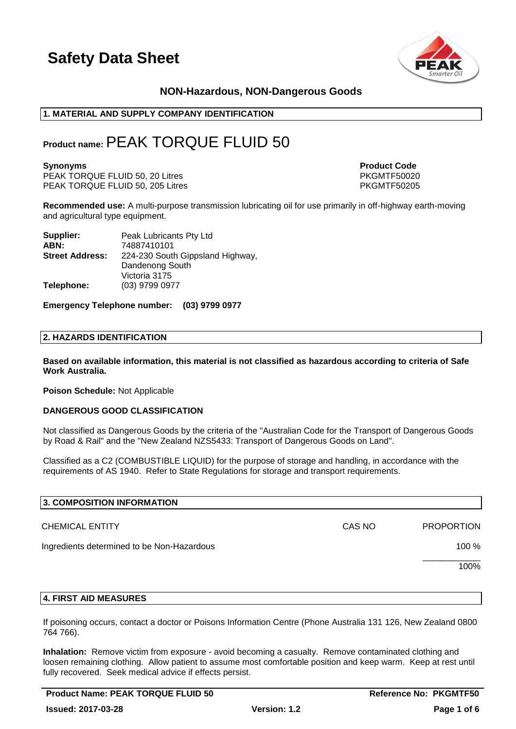

# **NON-Hazardous, NON-Dangerous Goods**

# **1. MATERIAL AND SUPPLY COMPANY IDENTIFICATION**

# **Product name:**PEAK TORQUE FLUID 50

PEAK TORQUE FLUID 50, 20 Litres PEAK TORQUE FLUID 50, 20 Litres PKGMTF50020<br>PEAK TORQUE FLUID 50, 205 Litres PKGMTF50205 PEAK TORQUE FLUID 50, 205 Litres

**Synonyms Product Code** 

**Recommended use:** A multi-purpose transmission lubricating oil for use primarily in off-highway earth-moving and agricultural type equipment.

| Supplier:              | Peak Lubricants Pty Ltd          |
|------------------------|----------------------------------|
| ABN:                   | 74887410101                      |
| <b>Street Address:</b> | 224-230 South Gippsland Highway, |
|                        | Dandenong South                  |
|                        | Victoria 3175                    |
| Telephone:             | (03) 9799 0977                   |

**Emergency Telephone number: (03) 9799 0977**

### **2. HAZARDS IDENTIFICATION**

**Based on available information, this material is not classified as hazardous according to criteria of Safe Work Australia.**

**Poison Schedule:** Not Applicable

## **DANGEROUS GOOD CLASSIFICATION**

Not classified as Dangerous Goods by the criteria of the "Australian Code for the Transport of Dangerous Goods by Road & Rail" and the "New Zealand NZS5433: Transport of Dangerous Goods on Land".

Classified as a C2 (COMBUSTIBLE LIQUID) for the purpose of storage and handling, in accordance with the requirements of AS 1940. Refer to State Regulations for storage and transport requirements.

| 3. COMPOSITION INFORMATION                 |        |                   |
|--------------------------------------------|--------|-------------------|
| <b>CHEMICAL ENTITY</b>                     | CAS NO | <b>PROPORTION</b> |
| Ingredients determined to be Non-Hazardous |        | 100 %             |
|                                            |        | 100%              |
|                                            |        |                   |

### **4. FIRST AID MEASURES**

If poisoning occurs, contact a doctor or Poisons Information Centre (Phone Australia 131 126, New Zealand 0800 764 766).

**Inhalation:** Remove victim from exposure - avoid becoming a casualty. Remove contaminated clothing and loosen remaining clothing. Allow patient to assume most comfortable position and keep warm. Keep at rest until fully recovered. Seek medical advice if effects persist.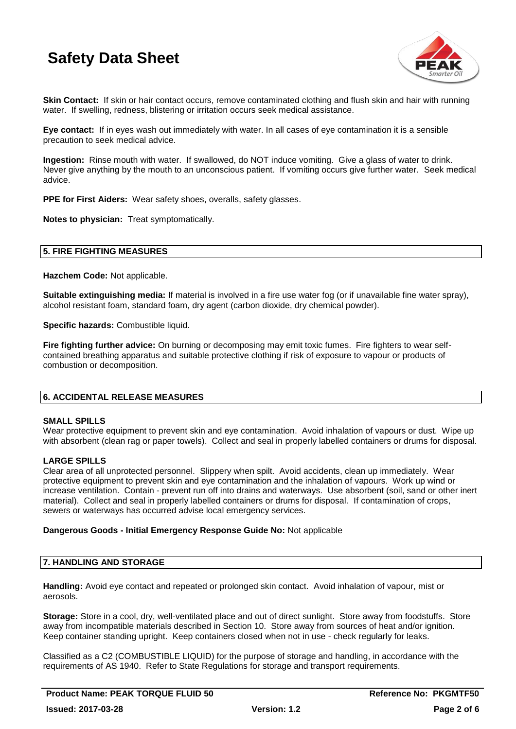

**Skin Contact:** If skin or hair contact occurs, remove contaminated clothing and flush skin and hair with running water. If swelling, redness, blistering or irritation occurs seek medical assistance.

**Eye contact:** If in eyes wash out immediately with water. In all cases of eye contamination it is a sensible precaution to seek medical advice.

**Ingestion:** Rinse mouth with water. If swallowed, do NOT induce vomiting. Give a glass of water to drink. Never give anything by the mouth to an unconscious patient. If vomiting occurs give further water. Seek medical advice.

**PPE for First Aiders:** Wear safety shoes, overalls, safety glasses.

**Notes to physician:** Treat symptomatically.

### **5. FIRE FIGHTING MEASURES**

**Hazchem Code:** Not applicable.

**Suitable extinguishing media:** If material is involved in a fire use water fog (or if unavailable fine water spray), alcohol resistant foam, standard foam, dry agent (carbon dioxide, dry chemical powder).

**Specific hazards:** Combustible liquid.

**Fire fighting further advice:** On burning or decomposing may emit toxic fumes. Fire fighters to wear selfcontained breathing apparatus and suitable protective clothing if risk of exposure to vapour or products of combustion or decomposition.

# **6. ACCIDENTAL RELEASE MEASURES**

### **SMALL SPILLS**

Wear protective equipment to prevent skin and eye contamination. Avoid inhalation of vapours or dust. Wipe up with absorbent (clean rag or paper towels). Collect and seal in properly labelled containers or drums for disposal.

## **LARGE SPILLS**

Clear area of all unprotected personnel. Slippery when spilt. Avoid accidents, clean up immediately. Wear protective equipment to prevent skin and eye contamination and the inhalation of vapours. Work up wind or increase ventilation. Contain - prevent run off into drains and waterways. Use absorbent (soil, sand or other inert material). Collect and seal in properly labelled containers or drums for disposal. If contamination of crops, sewers or waterways has occurred advise local emergency services.

### **Dangerous Goods - Initial Emergency Response Guide No:** Not applicable

### **7. HANDLING AND STORAGE**

**Handling:** Avoid eye contact and repeated or prolonged skin contact. Avoid inhalation of vapour, mist or aerosols.

**Storage:** Store in a cool, dry, well-ventilated place and out of direct sunlight. Store away from foodstuffs. Store away from incompatible materials described in Section 10. Store away from sources of heat and/or ignition. Keep container standing upright. Keep containers closed when not in use - check regularly for leaks.

Classified as a C2 (COMBUSTIBLE LIQUID) for the purpose of storage and handling, in accordance with the requirements of AS 1940. Refer to State Regulations for storage and transport requirements.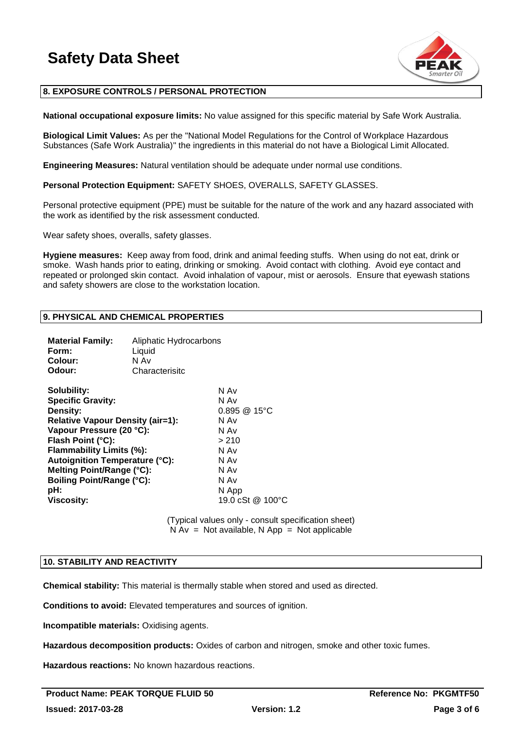

# **8. EXPOSURE CONTROLS / PERSONAL PROTECTION**

**National occupational exposure limits:** No value assigned for this specific material by Safe Work Australia.

**Biological Limit Values:** As per the "National Model Regulations for the Control of Workplace Hazardous Substances (Safe Work Australia)" the ingredients in this material do not have a Biological Limit Allocated.

**Engineering Measures:** Natural ventilation should be adequate under normal use conditions.

**Personal Protection Equipment:** SAFETY SHOES, OVERALLS, SAFETY GLASSES.

Personal protective equipment (PPE) must be suitable for the nature of the work and any hazard associated with the work as identified by the risk assessment conducted.

Wear safety shoes, overalls, safety glasses.

**Hygiene measures:** Keep away from food, drink and animal feeding stuffs. When using do not eat, drink or smoke. Wash hands prior to eating, drinking or smoking. Avoid contact with clothing. Avoid eye contact and repeated or prolonged skin contact. Avoid inhalation of vapour, mist or aerosols. Ensure that eyewash stations and safety showers are close to the workstation location.

### **9. PHYSICAL AND CHEMICAL PROPERTIES**

| <b>Material Family:</b><br>Form:<br>Colour:<br>Odour: | Aliphatic Hydrocarbons<br>Liquid<br>N Av<br>Characterisitc |                          |
|-------------------------------------------------------|------------------------------------------------------------|--------------------------|
| Solubility:                                           |                                                            | N Av                     |
| <b>Specific Gravity:</b>                              |                                                            | N Av                     |
| Density:                                              |                                                            | $0.895 \ @ 15^{\circ}$ C |
| <b>Relative Vapour Density (air=1):</b>               |                                                            | N Av                     |
| Vapour Pressure (20 °C):                              |                                                            | N Av                     |
| Flash Point (°C):                                     |                                                            | >210                     |
| Flammability Limits (%):                              |                                                            | N Av                     |
| <b>Autoignition Temperature (°C):</b>                 |                                                            | N Av                     |
| Melting Point/Range (°C):                             |                                                            | N Av                     |
| <b>Boiling Point/Range (°C):</b>                      |                                                            | N Av                     |
| pH:                                                   |                                                            | N App                    |
| <b>Viscosity:</b>                                     |                                                            | 19.0 cSt @ 100 °C        |

(Typical values only - consult specification sheet)  $N Av = Not available, N App = Not applicable$ 

### **10. STABILITY AND REACTIVITY**

**Chemical stability:** This material is thermally stable when stored and used as directed.

**Conditions to avoid:** Elevated temperatures and sources of ignition.

**Incompatible materials:** Oxidising agents.

**Hazardous decomposition products:** Oxides of carbon and nitrogen, smoke and other toxic fumes.

**Hazardous reactions:** No known hazardous reactions.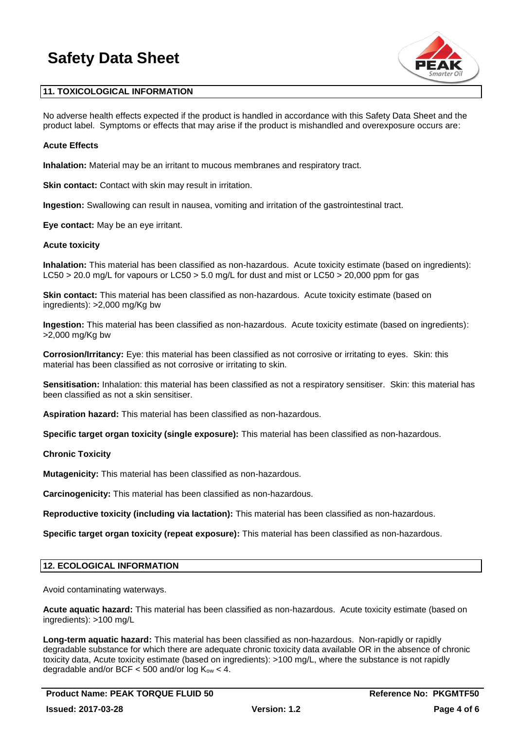

# **11. TOXICOLOGICAL INFORMATION**

No adverse health effects expected if the product is handled in accordance with this Safety Data Sheet and the product label. Symptoms or effects that may arise if the product is mishandled and overexposure occurs are:

### **Acute Effects**

**Inhalation:** Material may be an irritant to mucous membranes and respiratory tract.

**Skin contact:** Contact with skin may result in irritation.

**Ingestion:** Swallowing can result in nausea, vomiting and irritation of the gastrointestinal tract.

**Eye contact:** May be an eye irritant.

### **Acute toxicity**

**Inhalation:** This material has been classified as non-hazardous. Acute toxicity estimate (based on ingredients): LC50 > 20.0 mg/L for vapours or LC50 > 5.0 mg/L for dust and mist or LC50 > 20,000 ppm for gas

**Skin contact:** This material has been classified as non-hazardous. Acute toxicity estimate (based on ingredients): >2,000 mg/Kg bw

**Ingestion:** This material has been classified as non-hazardous. Acute toxicity estimate (based on ingredients): >2,000 mg/Kg bw

**Corrosion/Irritancy:** Eye: this material has been classified as not corrosive or irritating to eyes. Skin: this material has been classified as not corrosive or irritating to skin.

**Sensitisation:** Inhalation: this material has been classified as not a respiratory sensitiser. Skin: this material has been classified as not a skin sensitiser.

**Aspiration hazard:** This material has been classified as non-hazardous.

**Specific target organ toxicity (single exposure):** This material has been classified as non-hazardous.

### **Chronic Toxicity**

**Mutagenicity:** This material has been classified as non-hazardous.

**Carcinogenicity:** This material has been classified as non-hazardous.

**Reproductive toxicity (including via lactation):** This material has been classified as non-hazardous.

**Specific target organ toxicity (repeat exposure):** This material has been classified as non-hazardous.

# **12. ECOLOGICAL INFORMATION**

Avoid contaminating waterways.

**Acute aquatic hazard:** This material has been classified as non-hazardous. Acute toxicity estimate (based on ingredients): >100 mg/L

**Long-term aquatic hazard:** This material has been classified as non-hazardous. Non-rapidly or rapidly degradable substance for which there are adequate chronic toxicity data available OR in the absence of chronic toxicity data, Acute toxicity estimate (based on ingredients): >100 mg/L, where the substance is not rapidly degradable and/or BCF  $<$  500 and/or log K<sub>ow</sub>  $<$  4.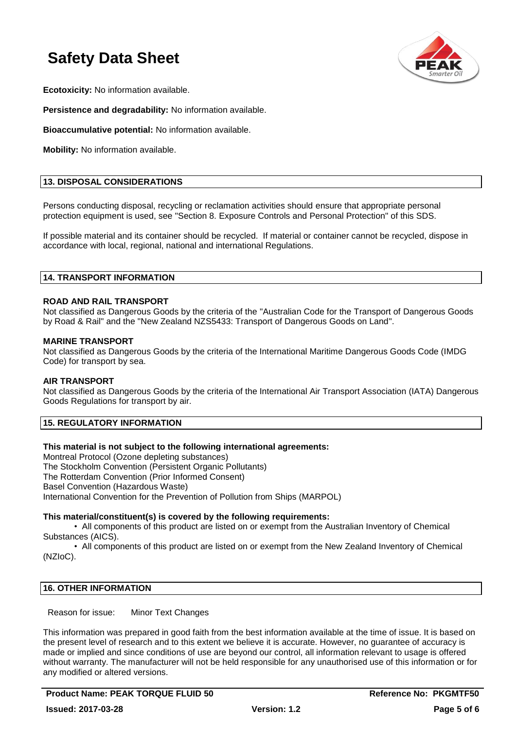

**Ecotoxicity:** No information available.

**Persistence and degradability:** No information available.

**Bioaccumulative potential:** No information available.

**Mobility:** No information available.

# **13. DISPOSAL CONSIDERATIONS**

Persons conducting disposal, recycling or reclamation activities should ensure that appropriate personal protection equipment is used, see "Section 8. Exposure Controls and Personal Protection" of this SDS.

If possible material and its container should be recycled. If material or container cannot be recycled, dispose in accordance with local, regional, national and international Regulations.

### **14. TRANSPORT INFORMATION**

### **ROAD AND RAIL TRANSPORT**

Not classified as Dangerous Goods by the criteria of the "Australian Code for the Transport of Dangerous Goods by Road & Rail" and the "New Zealand NZS5433: Transport of Dangerous Goods on Land".

### **MARINE TRANSPORT**

Not classified as Dangerous Goods by the criteria of the International Maritime Dangerous Goods Code (IMDG Code) for transport by sea.

### **AIR TRANSPORT**

Not classified as Dangerous Goods by the criteria of the International Air Transport Association (IATA) Dangerous Goods Regulations for transport by air.

# **15. REGULATORY INFORMATION**

## **This material is not subject to the following international agreements:**

Montreal Protocol (Ozone depleting substances) The Stockholm Convention (Persistent Organic Pollutants) The Rotterdam Convention (Prior Informed Consent) Basel Convention (Hazardous Waste) International Convention for the Prevention of Pollution from Ships (MARPOL)

## **This material/constituent(s) is covered by the following requirements:**

• All components of this product are listed on or exempt from the Australian Inventory of Chemical Substances (AICS).

• All components of this product are listed on or exempt from the New Zealand Inventory of Chemical (NZIoC).

## **16. OTHER INFORMATION**

Reason for issue: Minor Text Changes

This information was prepared in good faith from the best information available at the time of issue. It is based on the present level of research and to this extent we believe it is accurate. However, no guarantee of accuracy is made or implied and since conditions of use are beyond our control, all information relevant to usage is offered without warranty. The manufacturer will not be held responsible for any unauthorised use of this information or for any modified or altered versions.